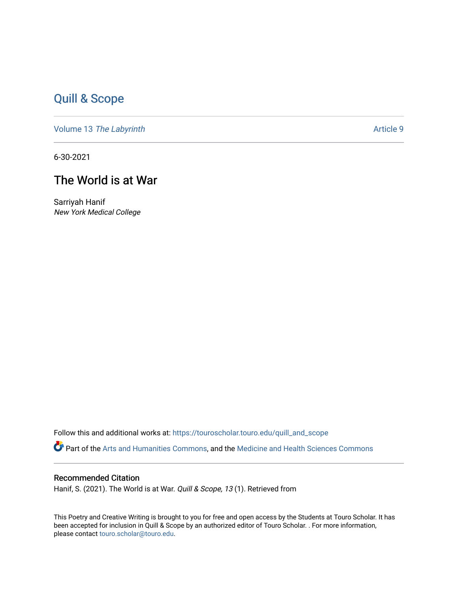## [Quill & Scope](https://touroscholar.touro.edu/quill_and_scope)

Volume 13 [The Labyrinth](https://touroscholar.touro.edu/quill_and_scope/vol13) Article 9

6-30-2021

## The World is at War

Sarriyah Hanif New York Medical College

Follow this and additional works at: [https://touroscholar.touro.edu/quill\\_and\\_scope](https://touroscholar.touro.edu/quill_and_scope?utm_source=touroscholar.touro.edu%2Fquill_and_scope%2Fvol13%2Fiss1%2F9&utm_medium=PDF&utm_campaign=PDFCoverPages) Part of the [Arts and Humanities Commons,](http://network.bepress.com/hgg/discipline/438?utm_source=touroscholar.touro.edu%2Fquill_and_scope%2Fvol13%2Fiss1%2F9&utm_medium=PDF&utm_campaign=PDFCoverPages) and the [Medicine and Health Sciences Commons](http://network.bepress.com/hgg/discipline/648?utm_source=touroscholar.touro.edu%2Fquill_and_scope%2Fvol13%2Fiss1%2F9&utm_medium=PDF&utm_campaign=PDFCoverPages)

## Recommended Citation

Hanif, S. (2021). The World is at War. Quill & Scope, 13 (1). Retrieved from

This Poetry and Creative Writing is brought to you for free and open access by the Students at Touro Scholar. It has been accepted for inclusion in Quill & Scope by an authorized editor of Touro Scholar. . For more information, please contact [touro.scholar@touro.edu](mailto:touro.scholar@touro.edu).